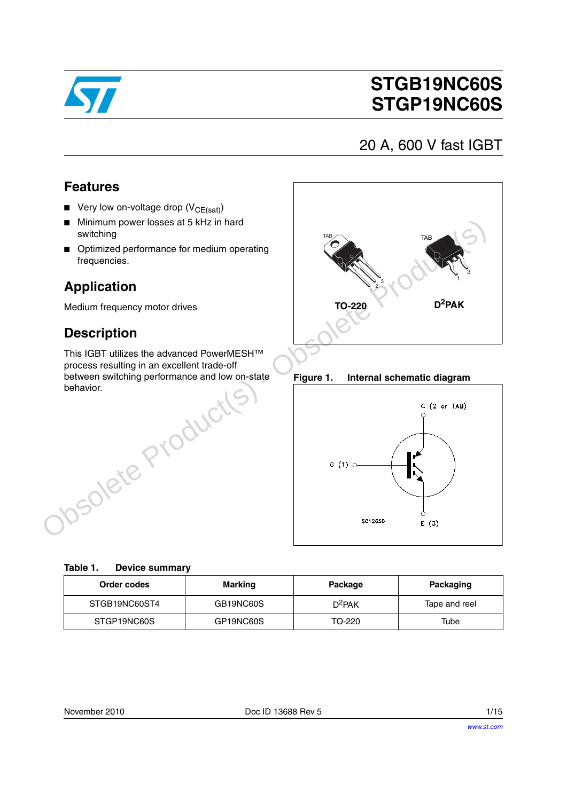

# **STGB19NC60S STGP19NC60S**

# 20 A, 600 V fast IGBT

### **Features**

- **■** Very low on-voltage drop  $(V_{CE(sat)})$
- Minimum power losses at 5 kHz in hard switching
- Optimized performance for medium operating frequencies.

## **Application**

Medium frequency motor drives

### **Description**

This IGBT utilizes the advanced PowerMESH™ process resulting in an excellent trade-off between switching performance and low on-state behavior.



**Figure 1. Internal schematic diagram**



| Order codes   | Marking   | Package   | Packaging     |
|---------------|-----------|-----------|---------------|
| STGB19NC60ST4 | GB19NC60S | $D^2$ PAK | Tape and reel |
| STGP19NC60S   | GP19NC60S | TO-220    | Tube          |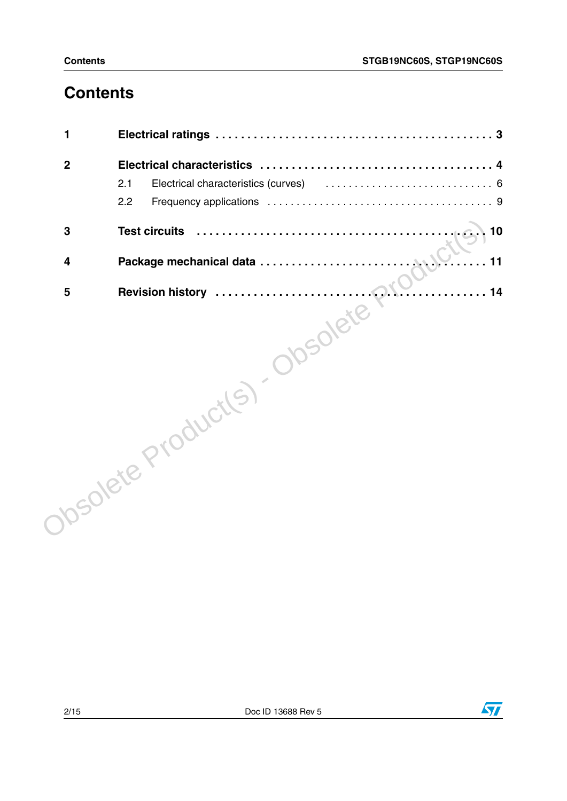# **Contents**

| 1                       |                                                                                                                      |
|-------------------------|----------------------------------------------------------------------------------------------------------------------|
| $\mathbf{2}$            |                                                                                                                      |
|                         | Electrical characteristics (curves) (example 2011) (curves and contract example 2015) (contract example 2016)<br>2.1 |
|                         | 2.2                                                                                                                  |
| 3                       | 10<br><b>Test circuits</b>                                                                                           |
| $\overline{\mathbf{4}}$ |                                                                                                                      |
|                         | 14                                                                                                                   |
|                         | Josolete Product(s). Obsolete                                                                                        |

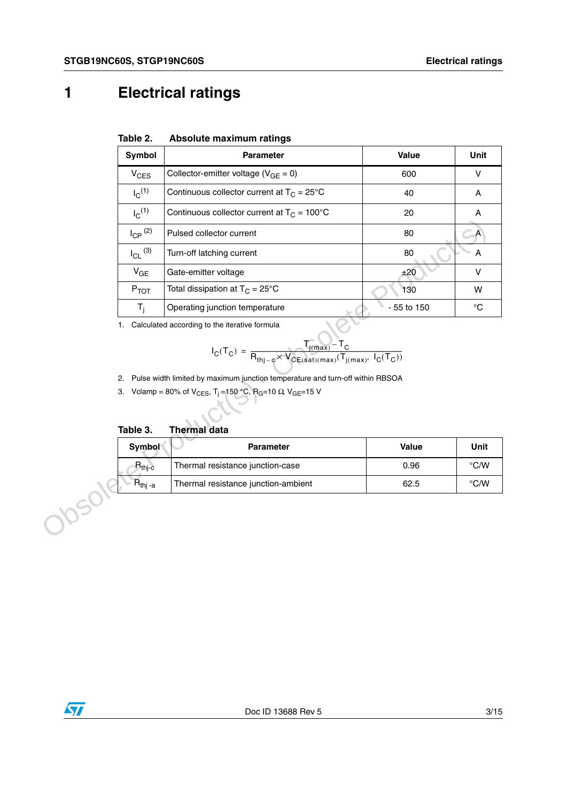# <span id="page-2-0"></span>**1 Electrical ratings**

| Table 2. | Absolute maximum ratings |  |
|----------|--------------------------|--|
|          |                          |  |

| Symbol                | <b>Parameter</b>                                                                                                                                                                                                              | Value       | Unit                      |
|-----------------------|-------------------------------------------------------------------------------------------------------------------------------------------------------------------------------------------------------------------------------|-------------|---------------------------|
| $V_{CES}$             | Collector-emitter voltage ( $V_{GE} = 0$ )                                                                                                                                                                                    | 600         | V                         |
| $I_C^{(1)}$           | Continuous collector current at $T_C = 25^{\circ}C$                                                                                                                                                                           | 40          | Α                         |
| $I_C^{(1)}$           | Continuous collector current at $T_C = 100^{\circ}C$                                                                                                                                                                          | 20          | $\boldsymbol{\mathsf{A}}$ |
| $I_{\text{CP}}^{(2)}$ | Pulsed collector current                                                                                                                                                                                                      | 80          | $\overline{A}$            |
| $I_{CL}$ (3)          | Turn-off latching current                                                                                                                                                                                                     | 80          | А                         |
| $V_{GE}$              | Gate-emitter voltage                                                                                                                                                                                                          | ±20         | $\vee$                    |
| $P_{TOT}$             | Total dissipation at $T_C = 25^{\circ}C$                                                                                                                                                                                      | 130         | W                         |
| $T_i$                 | Operating junction temperature                                                                                                                                                                                                | - 55 to 150 | $^{\circ}C$               |
| Table 3.              | 2. Pulse width limited by maximum junction temperature and turn-off within RBSOA<br>3. Vclamp = 80% of V <sub>CES</sub> , T <sub>j</sub> = 150 °C, R <sub>G</sub> =10 $\Omega$ , V <sub>GE</sub> =15 V<br><b>Thermal data</b> |             |                           |
| Symbol                | Parameter                                                                                                                                                                                                                     | Value       | Unit                      |
| $R_{thj-c}$           | Thermal resistance junction-case                                                                                                                                                                                              | 0.96        | $\degree$ C/W             |
| $R_{\text{thj-a}}$    | Thermal resistance junction-ambient                                                                                                                                                                                           | 62.5        | $^{\circ}$ C/W            |
| Josok                 |                                                                                                                                                                                                                               |             |                           |

$$
I_C(T_C) = \frac{T_{j(max)} - T_C}{R_{thj-c} \times V_{CE(sat)(max)}(T_{j(max)}, \ I_C(T_C))}
$$

**Table 3. Thermal data**

| Symbol                         | <b>Parameter</b>                    | Value | Unit               |
|--------------------------------|-------------------------------------|-------|--------------------|
| $R_{\text{th}-c}$              | Thermal resistance junction-case    | 0.96  | $\rm ^{\circ}$ C/W |
| $\mathsf{R}_{\mathsf{thi}}$ -a | Thermal resistance junction-ambient | 62.5  | $\rm ^{\circ}$ C/W |

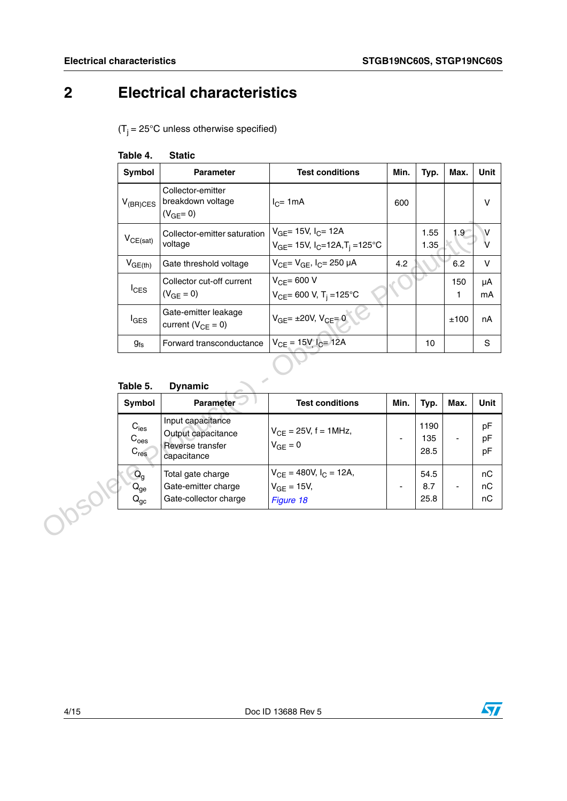# <span id="page-3-0"></span>**2 Electrical characteristics**

 $(T_j = 25^{\circ}C$  unless otherwise specified)

<span id="page-3-1"></span>

| Table 4. | <b>Static</b> |
|----------|---------------|
|          |               |

| Symbol                                              | <b>Parameter</b>                                                           | <b>Test conditions</b>                                                                   | Min. | Typ.                | Max.             | Unit           |
|-----------------------------------------------------|----------------------------------------------------------------------------|------------------------------------------------------------------------------------------|------|---------------------|------------------|----------------|
| $V_{(BR)CES}$                                       | Collector-emitter<br>breakdown voltage<br>$(V_{GE} = 0)$                   | $I_{C}$ = 1mA                                                                            | 600  |                     |                  | $\vee$         |
| $V_{CE(sat)}$                                       | Collector-emitter saturation<br>voltage                                    | $V_{GF}$ = 15V, $I_C$ = 12A<br>$V_{GE}$ = 15V, I <sub>C</sub> =12A,T <sub>i</sub> =125°C |      | 1.55<br>1.35        | 1.9 <sup>°</sup> | V<br>v         |
| $V_{GE(th)}$                                        | Gate threshold voltage                                                     | $V_{CF} = V_{GF}$ , $I_C = 250 \mu A$                                                    | 4.2  |                     | 6.2              | $\mathsf{V}$   |
| $I_{\text{CES}}$                                    | Collector cut-off current<br>$(V_{GE} = 0)$                                | $V_{CF}$ = 600 V<br>$V_{CE}$ = 600 V, T <sub>j</sub> = 125°C                             |      |                     | 150<br>1         | μA<br>mA       |
| $I_{\text{GES}}$                                    | Gate-emitter leakage<br>current ( $V_{CE} = 0$ )                           | $V_{GE} = \pm 20V, V_{CE} = 0$                                                           |      |                     | ±100             | nA             |
|                                                     | Forward transconductance                                                   | $V_{CE} = 15V I_{C} = 12A$                                                               |      | 10                  |                  | S              |
| $g_{fs}$                                            |                                                                            |                                                                                          |      |                     |                  |                |
| Table 5.                                            | <b>Dynamic</b>                                                             |                                                                                          |      |                     |                  |                |
| Symbol                                              | <b>Parameter</b>                                                           | <b>Test conditions</b>                                                                   | Min. | Typ.                | Max.             | Unit           |
| $C_{\text{ies}}$<br>$\mathrm{C_{oes}}$<br>$C_{res}$ | Input capacitance<br>Output capacitance<br>Reverse transfer<br>capacitance | $V_{CE} = 25V, f = 1MHz,$<br>$V_{GE} = 0$                                                |      | 1190<br>135<br>28.5 |                  | pF<br>pF<br>pF |

### **Table 5. Dynamic**

| Symbol                                                   | <b>Parameter</b>                                                           | <b>Test conditions</b>                                         | Min. | Typ.                | Max. | <b>Unit</b>    |
|----------------------------------------------------------|----------------------------------------------------------------------------|----------------------------------------------------------------|------|---------------------|------|----------------|
| $C_{\text{ies}}$<br>C <sub>oes</sub><br>C <sub>res</sub> | Input capacitance<br>Output capacitance<br>Reverse transfer<br>capacitance | $V_{CF} = 25V$ , f = 1MHz,<br>$V_{GF} = 0$                     |      | 1190<br>135<br>28.5 |      | pF<br>pF<br>pF |
| $Q_g$<br>$Q_{ge}$<br>$Q_{gc}$                            | Total gate charge<br>Gate-emitter charge<br>Gate-collector charge          | $V_{CE}$ = 480V, $I_C$ = 12A,<br>$V_{GF} = 15V$ ,<br>Figure 18 |      | 54.5<br>8.7<br>25.8 |      | nC<br>nС<br>nC |

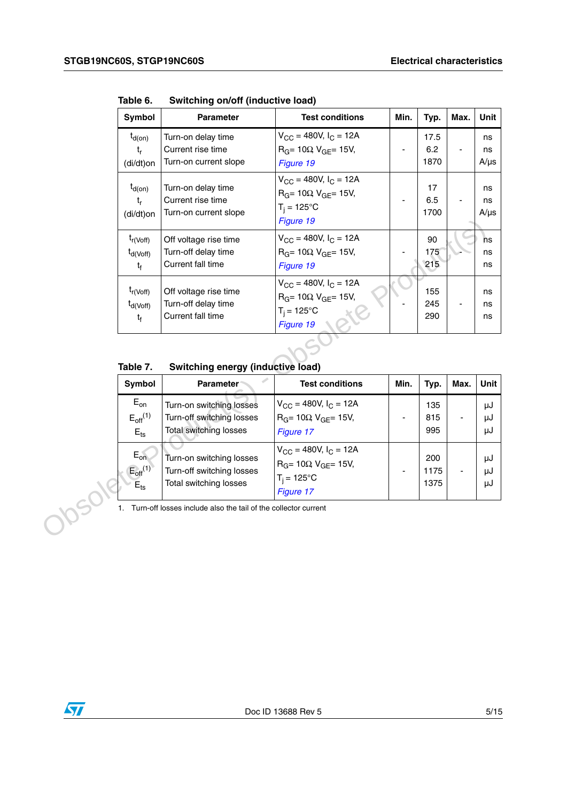| Symbol                                           | <b>Parameter</b>                                                  | <b>Test conditions</b>                                                                                                | Min. | Typ.                | Max. | Unit                  |
|--------------------------------------------------|-------------------------------------------------------------------|-----------------------------------------------------------------------------------------------------------------------|------|---------------------|------|-----------------------|
| $t_{d(on)}$<br>$t_{r}$<br>(di/dt)on              | Turn-on delay time<br>Current rise time<br>Turn-on current slope  | $V_{\text{CC}} = 480V, I_{\text{C}} = 12A$<br>$R_G$ = 10 $\Omega$ V <sub>GF</sub> = 15V,<br>Figure 19                 |      | 17.5<br>6.2<br>1870 |      | ns<br>ns<br>$A/\mu s$ |
| $t_{d(on)}$<br>$t_{r}$<br>(di/dt)on              | Turn-on delay time<br>Current rise time<br>Turn-on current slope  | $V_{\rm CC}$ = 480V, $I_{\rm C}$ = 12A<br>$RG = 10\Omega$ V <sub>GF</sub> = 15V,<br>$T_i = 125^{\circ}C$<br>Figure 19 |      | 17<br>6.5<br>1700   |      | ns<br>ns<br>$A/\mu s$ |
| $t_{r(Voff)}$<br>$t_{d(Voff)}$<br>t <sub>f</sub> | Off voltage rise time<br>Turn-off delay time<br>Current fall time | $V_{CC}$ = 480V, $I_C$ = 12A<br>$R_G$ = 10 $\Omega$ , $V_{GF}$ = 15V,<br>Figure 19                                    |      | 90<br>175<br>215    |      | ns<br>ns<br>ns        |
| $t_{r(Voff)}$<br>$t_{d(Voff)}$<br>t <sub>f</sub> | Off voltage rise time<br>Turn-off delay time<br>Current fall time | $V_{CC}$ = 480V, $I_C$ = 12A<br>$R_G$ = 10 $\Omega$ V <sub>GE</sub> = 15V,<br>$T_i = 125^{\circ}C$<br>Figure 19       |      | 155<br>245<br>290   |      | ns<br>ns<br>ns        |
|                                                  |                                                                   |                                                                                                                       |      |                     |      |                       |

**Table 6. Switching on/off (inductive load)**

**Table 7. Switching energy (inductive load)**

|                                                         |                                                                                        | Figure 19                                                                                                  |      |                     |      |                           |
|---------------------------------------------------------|----------------------------------------------------------------------------------------|------------------------------------------------------------------------------------------------------------|------|---------------------|------|---------------------------|
| $t_{r(Voff)}$<br>$t_{d(Voff)}$<br>$t_{\rm f}$           | Off voltage rise time<br>Turn-off delay time<br>Current fall time                      | $V_{CC}$ = 480V, $I_C$ = 12A<br>$R_G$ = 10Ω V <sub>GE</sub> = 15V,<br>Figure 19                            |      | 90<br>175<br>215    |      | <sub>ns</sub><br>ns<br>ns |
| $t_{r(Voff)}$<br>$t_{d(Voff)}$<br>$t_{\rm f}$           | Off voltage rise time<br>Turn-off delay time<br>Current fall time                      | $V_{CC}$ = 480V, $I_C$ = 12A<br>$R_G = 10 \Omega$ , $V_{GE} = 15 V$ ,<br>$T_i = 125^{\circ}C$<br>Figure 19 |      | 155<br>245<br>290   |      | ns<br>ns<br>ns            |
| Table 7.                                                | Switching energy (inductive load)                                                      |                                                                                                            |      |                     |      |                           |
| Symbol                                                  | <b>Parameter</b>                                                                       | <b>Test conditions</b>                                                                                     | Min. | Typ.                | Max. | Unit                      |
| $E_{on}$<br>$E_{off}$ <sup>(1)</sup><br>$E_{\text{ts}}$ | Turn-on switching losses<br>Turn-off switching losses<br><b>Total switching losses</b> | $V_{CC}$ = 480V, $I_C$ = 12A<br>$R_G = 10\Omega$ V <sub>GE</sub> = 15V,<br>Figure 17                       |      | 135<br>815<br>995   |      | μJ<br>μJ<br>μJ            |
| $E_{on}$<br>$E_{\text{off}}^{(1)}$                      | Turn-on switching losses<br>Turn-off switching losses<br>Total switching losses        | $V_{CC}$ = 480V, $I_C$ = 12A<br>$R_G = 10\Omega$ , $V_{GE} = 15V$ ,<br>$T_i = 125^{\circ}C$<br>Figure 17   |      | 200<br>1175<br>1375 |      | μJ<br>μJ<br>μJ            |
| $E_{\text{ts}}$                                         |                                                                                        |                                                                                                            |      |                     |      |                           |

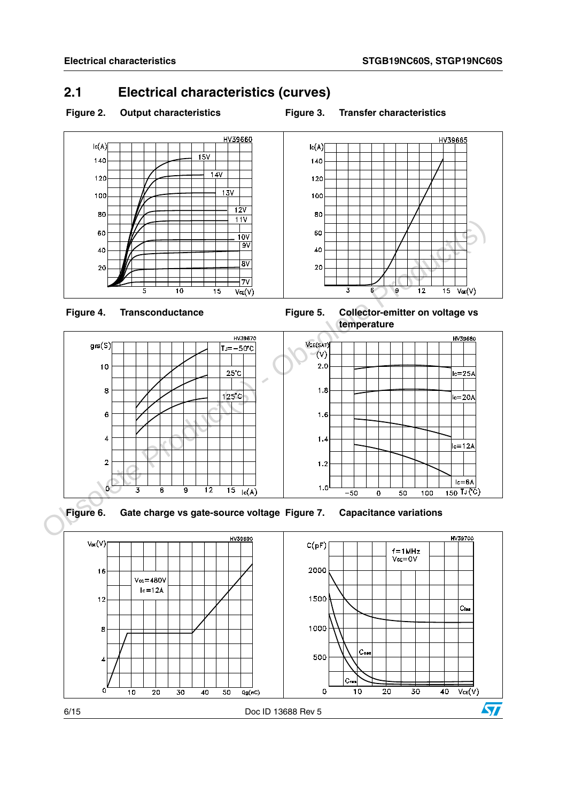### <span id="page-5-0"></span>**2.1 Electrical characteristics (curves)**



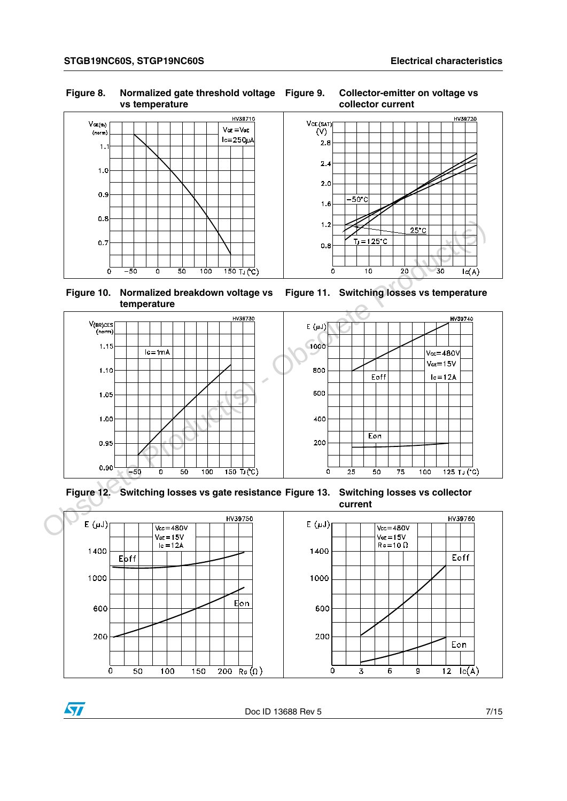#### **Figure 8. Normalized gate threshold voltage vs temperature**



#### **Figure 10. Normalized breakdown voltage vs temperature**



### **Figure 12. Switching losses vs gate resistance Figure 13. Switching losses vs collector**



**Figure 9. Collector-emitter on voltage vs collector current**



**Figure 11. Switching losses vs temperature**

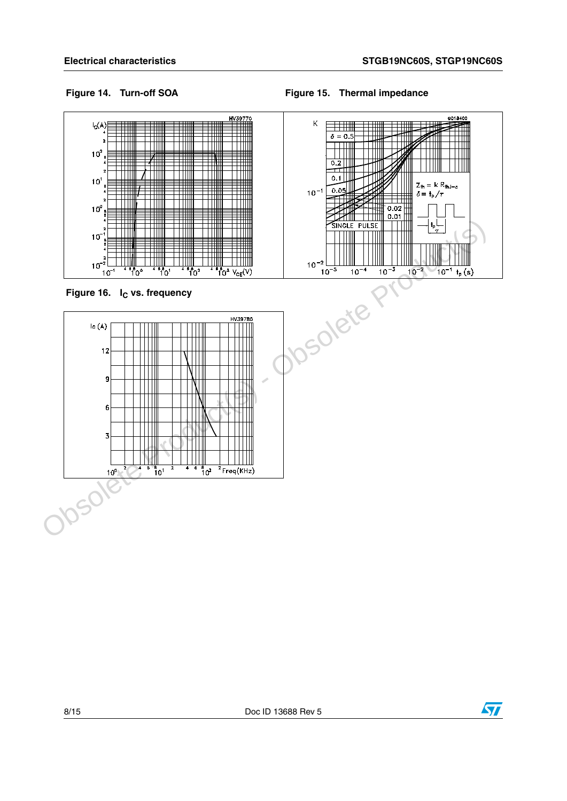GC18400

#### Figure 14. Turn-off SOA **Figure 15. Thermal impedance**



**Figure 16.** I<sub>C</sub> vs. frequency

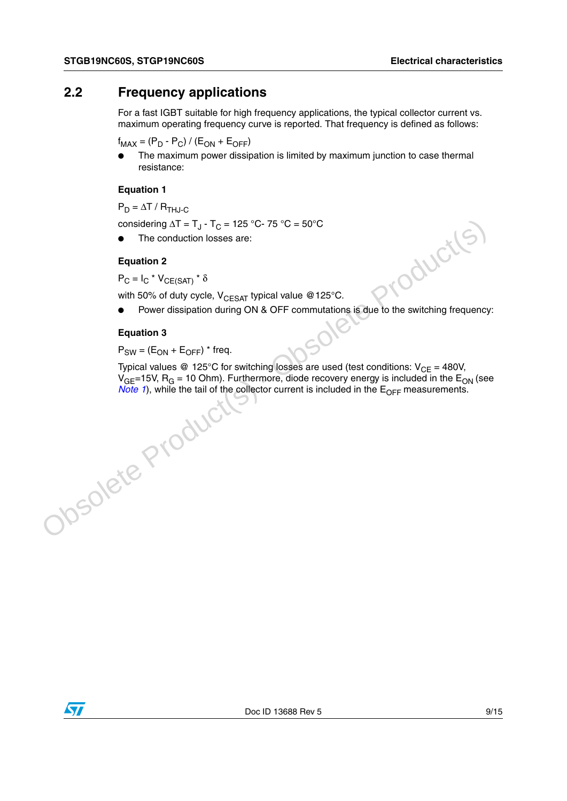### <span id="page-8-0"></span>**2.2 Frequency applications**

For a fast IGBT suitable for high frequency applications, the typical collector current vs. maximum operating frequency curve is reported. That frequency is defined as follows:

 $f_{MAX} = (P_D - P_C) / (E_{ON} + E_{OFF})$ 

The maximum power dissipation is limited by maximum junction to case thermal resistance:

#### **Equation 1**

 $P_D = \Delta T / R_{THJ-C}$ 

considering  $\Delta T = T_{J} - T_{C} = 125 °C - 75 °C = 50 °C$ 

The conduction losses are:

#### **Equation 2**

 $P_C = I_C * V_{CF(SAT)} * \delta$ 

with 50% of duty cycle,  $V_{CFSAT}$  typical value @125°C.

● Power dissipation during ON & OFF commutations is due to the switching frequency:

#### **Equation 3**

 $P_{SW} = (E_{ON} + E_{OFF})$  \* freq.

Typical values @ 125°C for switching losses are used (test conditions:  $V_{CE} = 480V$ ,  $V_{GF}=15V$ , R<sub>G</sub> = 10 Ohm). Furthermore, diode recovery energy is included in the E<sub>ON</sub> (see *Note 1*), while the tail of the collector current is included in the  $E_{\text{OFF}}$  measurements. **Poster Production 2**<br>  $P_C = I_C * V_{CE(SAN)} * \delta$ <br>
with 50% of duty cycle. V<sub>CESAT</sub> typical value @125°C.<br>
• Power dissipation during ON & OFF commutations is due to the switching frequently<br> **Equation 3**<br>  $P_{SW} = (E_{ON} + E_{OFF}) * \text{freq}$ .

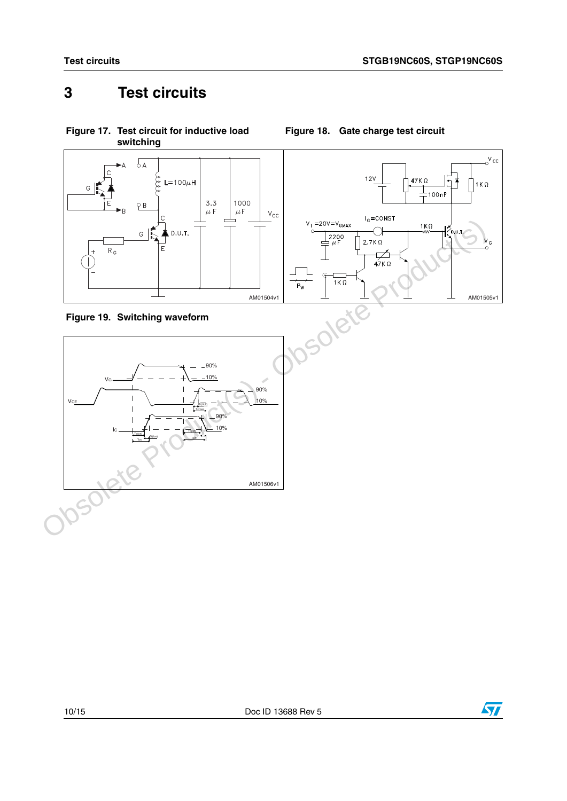<span id="page-9-1"></span>**Figure 18. Gate charge test circuit**

<span id="page-9-2"></span>VG

 $IC \longrightarrow$ Ton Tr(Ion)

 $VCE$ 

# <span id="page-9-0"></span>**3 Test circuits**



<span id="page-9-3"></span>**Figure 17. Test circuit for inductive load switching**

10/15 Doc ID 13688 Rev 5

AM01506v1

90%  $10<sup>°</sup>$ 

 $-90%$ 10%

Tr(Voff) Tcross

> 90% 10%

Td(off) Toff Tf

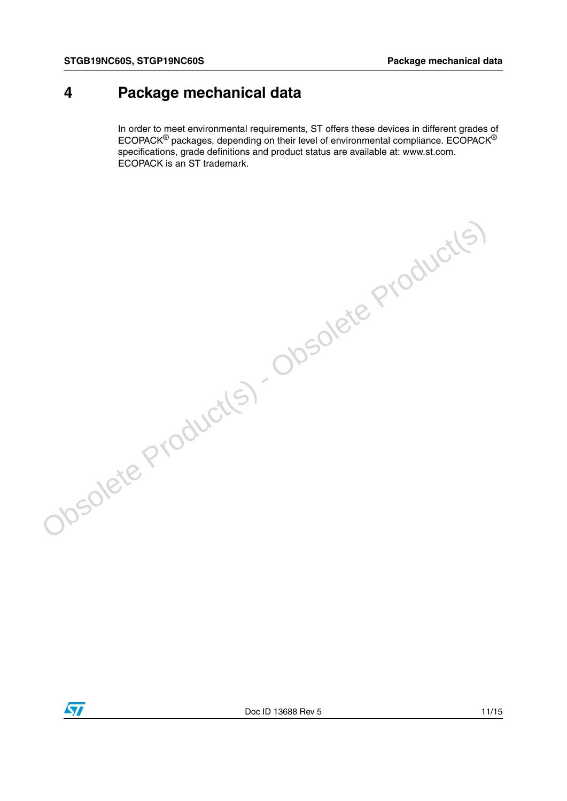## <span id="page-10-0"></span>**4 Package mechanical data**

In order to meet environmental requirements, ST offers these devices in different grades of ECOPACK® packages, depending on their level of environmental compliance. ECOPACK® specifications, grade definitions and product status are available at: www.st.com. ECOPACK is an ST trademark.



Obsolete Product(s) - Obsolete Product(s)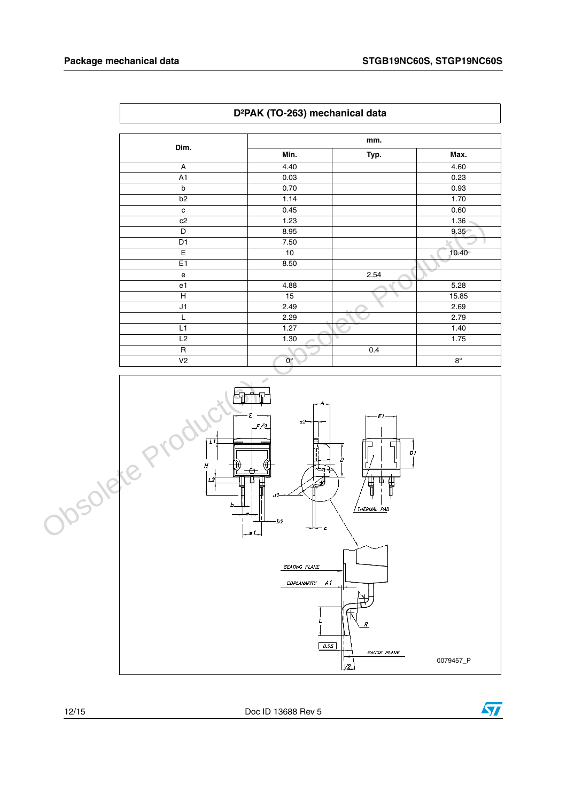$\sqrt{ }$ 

| D <sup>2</sup> PAK (TO-263) mechanical data |                    |      |             |  |  |
|---------------------------------------------|--------------------|------|-------------|--|--|
| Dim.                                        |                    | mm.  |             |  |  |
|                                             | Min.               | Typ. | Max.        |  |  |
| A                                           | 4.40               |      | 4.60        |  |  |
| A1                                          | 0.03               |      | 0.23        |  |  |
| $\mathsf{b}$                                | 0.70               |      | 0.93        |  |  |
| b <sub>2</sub>                              | 1.14               |      | 1.70        |  |  |
| $\mathbf c$                                 | 0.45               |      | 0.60        |  |  |
| c2                                          | 1.23               |      | 1.36        |  |  |
| D                                           | 8.95               |      | $9.35 -$    |  |  |
| D1                                          | 7.50               |      |             |  |  |
| E                                           | 10                 |      | $10.40 -$   |  |  |
| E <sub>1</sub>                              | 8.50               |      |             |  |  |
| e                                           |                    | 2.54 |             |  |  |
| e1                                          | 4.88               |      | 5.28        |  |  |
| H                                           | 15                 |      | 15.85       |  |  |
| J1                                          | 2.49               |      | 2.69        |  |  |
| L                                           | 2.29               |      | 2.79        |  |  |
| L1                                          | 1.27               |      | 1.40        |  |  |
| L2                                          | 1.30               |      | 1.75        |  |  |
| R                                           |                    | 0.4  |             |  |  |
| V <sub>2</sub>                              | $\mathbf{0}^\circ$ |      | $8^{\circ}$ |  |  |



12/15 Doc ID 13688 Rev 5

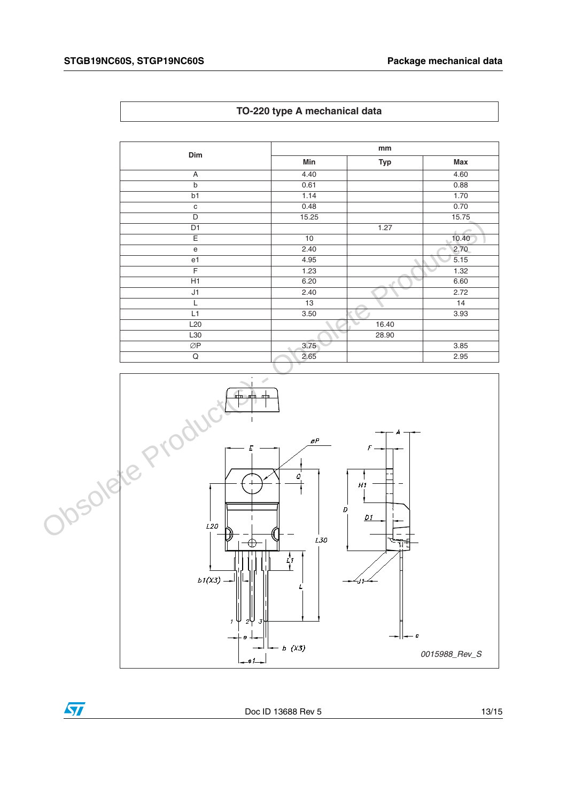| Dim                                        | mm    |            |       |  |
|--------------------------------------------|-------|------------|-------|--|
|                                            | Min   | <b>Typ</b> | Max   |  |
| A                                          | 4.40  |            | 4.60  |  |
| $\mathsf b$                                | 0.61  |            | 0.88  |  |
| b1                                         | 1.14  |            | 1.70  |  |
| $\mathbf C$                                | 0.48  |            | 0.70  |  |
| D                                          | 15.25 |            | 15.75 |  |
| D <sub>1</sub>                             |       | 1.27       |       |  |
| Ε                                          | 10    |            | 10.40 |  |
| $\mathsf{e}% _{0}\left( \mathsf{e}\right)$ | 2.40  |            | 2.70  |  |
| e1                                         | 4.95  |            | 5.15  |  |
| F                                          | 1.23  |            | 1.32  |  |
| H1                                         | 6.20  |            | 6.60  |  |
| J1                                         | 2.40  |            | 2.72  |  |
| L                                          | 13    |            | 14    |  |
| L1                                         | 3.50  |            | 3.93  |  |
| L <sub>20</sub>                            |       | 16.40      |       |  |
| L30                                        |       | 28.90      |       |  |
| ØP                                         | 3.75  |            | 3.85  |  |
| Q                                          | 2.65  |            | 2.95  |  |



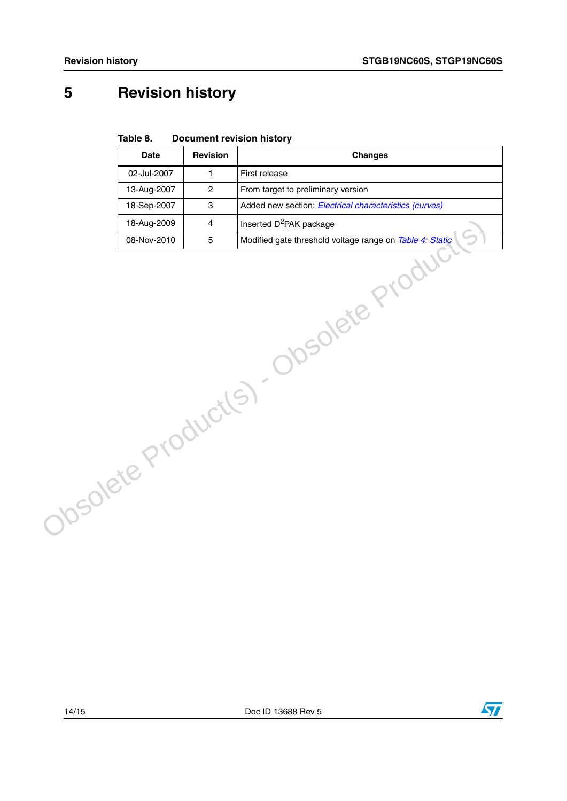# <span id="page-13-0"></span>**5 Revision history**

| Table 8. | <b>Document revision history</b> |  |
|----------|----------------------------------|--|
|          |                                  |  |

|                                       | <b>Date</b> | Revision       | <b>Changes</b>                                         |  |
|---------------------------------------|-------------|----------------|--------------------------------------------------------|--|
|                                       | 02-Jul-2007 | $\mathbf{1}$   | First release                                          |  |
|                                       | 13-Aug-2007 | $\overline{2}$ | From target to preliminary version                     |  |
|                                       | 18-Sep-2007 | 3              | Added new section: Electrical characteristics (curves) |  |
|                                       |             |                |                                                        |  |
|                                       |             |                |                                                        |  |
| Obsolete Product(s). Obsolete Product |             |                |                                                        |  |